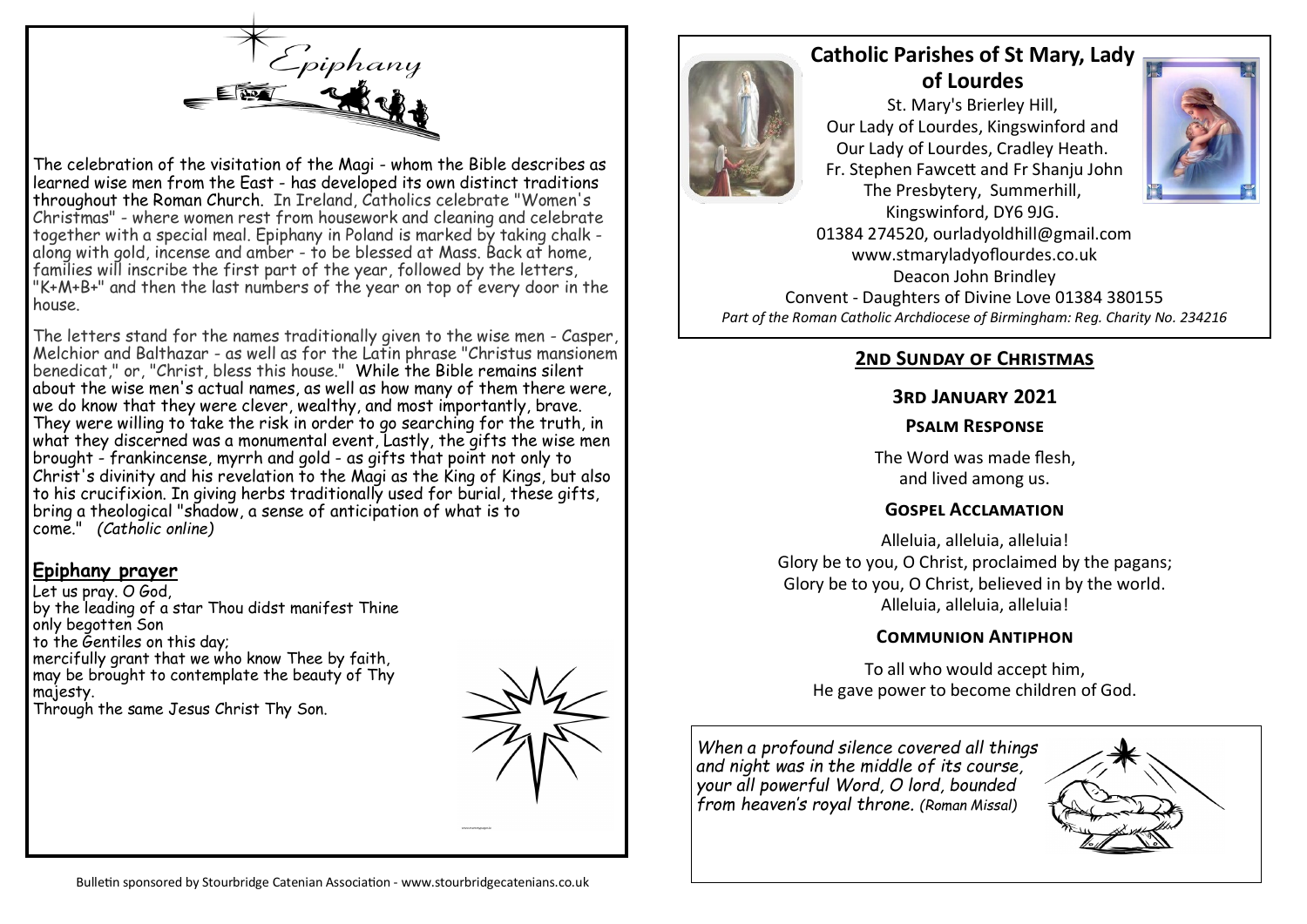

The celebration of the visitation of the Magi - whom the Bible describes as learned wise men from the East - has developed its own distinct traditions throughout the Roman Church. In Ireland, Catholics celebrate "Women's Christmas" - where women rest from housework and cleaning and celebrate together with a special meal. Epiphany in Poland is marked by taking chalk along with gold, incense and amber - to be blessed at Mass. Back at home, families will inscribe the first part of the year, followed by the letters, "K+M+B+" and then the last numbers of the year on top of every door in the house.

The letters stand for the names traditionally given to the wise men - Casper, Melchior and Balthazar - as well as for the Latin phrase "Christus mansionem benedicat," or, "Christ, bless this house." While the Bible remains silent about the wise men's actual names, as well as how many of them there were, we do know that they were clever, wealthy, and most importantly, brave. They were willing to take the risk in order to go searching for the truth, in what they discerned was a monumental event, Lastly, the gifts the wise men brought - frankincense, myrrh and gold - as gifts that point not only to Christ's divinity and his revelation to the Magi as the King of Kings, but also to his crucifixion. In giving herbs traditionally used for burial, these aifts. bring a theological "shadow, a sense of anticipation of what is to come." *(Catholic online)*

#### **Epiphany prayer**

Let us pray. O God, by the leading of a star Thou didst manifest Thine only begotten Son to the Gentiles on this day; mercifully grant that we who know Thee by faith, may be brought to contemplate the beauty of Thy majesty. Through the same Jesus Christ Thy Son.





# **Catholic Parishes of St Mary, Lady of Lourdes**

St. Mary's Brierley Hill, Our Lady of Lourdes, Kingswinford and Our Lady of Lourdes, Cradley Heath. Fr. Stephen Fawcett and Fr Shanju John The Presbytery, Summerhill,



Kingswinford, DY6 9JG. 01384 274520, ourladyoldhill@gmail.com www.stmaryladyoflourdes.co.uk Deacon John Brindley Convent - Daughters of Divine Love 01384 380155 *Part of the Roman Catholic Archdiocese of Birmingham: Reg. Charity No. 234216*

# **2nd Sunday of Christmas**

## **3rd January 2021**

#### **Psalm Response**

The Word was made flesh, and lived among us.

## **Gospel Acclamation**

Alleluia, alleluia, alleluia! Glory be to you, O Christ, proclaimed by the pagans; Glory be to you, O Christ, believed in by the world. Alleluia, alleluia, alleluia!

#### **Communion Antiphon**

To all who would accept him, He gave power to become children of God.

*When a profound silence covered all things and night was in the middle of its course, your all powerful Word, O lord, bounded from heaven's royal throne. (Roman Missal)*